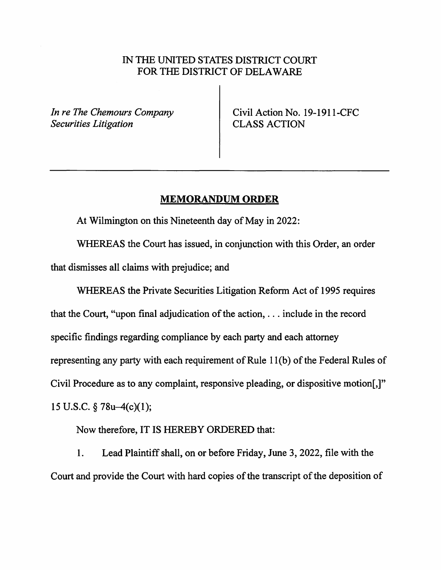## IN THE UNITED STATES DISTRICT COURT FOR THE DISTRICT OF DELAWARE

*In re The Chemours Company Securities Litigation* 

Civil Action No. 19-1911-CFC CLASS ACTION

## **MEMORANDUM ORDER**

At Wilmington on this Nineteenth day of May in 2022:

WHEREAS the Court has issued, in conjunction with this Order, an order that dismisses all claims with prejudice; and

WHEREAS the Private Securities Litigation Reform Act of 1995 requires that the Court, "upon final adjudication of the action, ... include in the record specific findings regarding compliance by each party and each attorney representing any party with each requirement of Rule 11(b) of the Federal Rules of Civil Procedure as to any complaint, responsive pleading, or dispositive motion[,]" 15 U.S.C. § 78u-4(c){l);

Now therefore, IT IS HEREBY ORDERED that:

1. Lead Plaintiff shall, on or before Friday, June 3, 2022, file with the Court and provide the Court with hard copies of the transcript of the deposition of